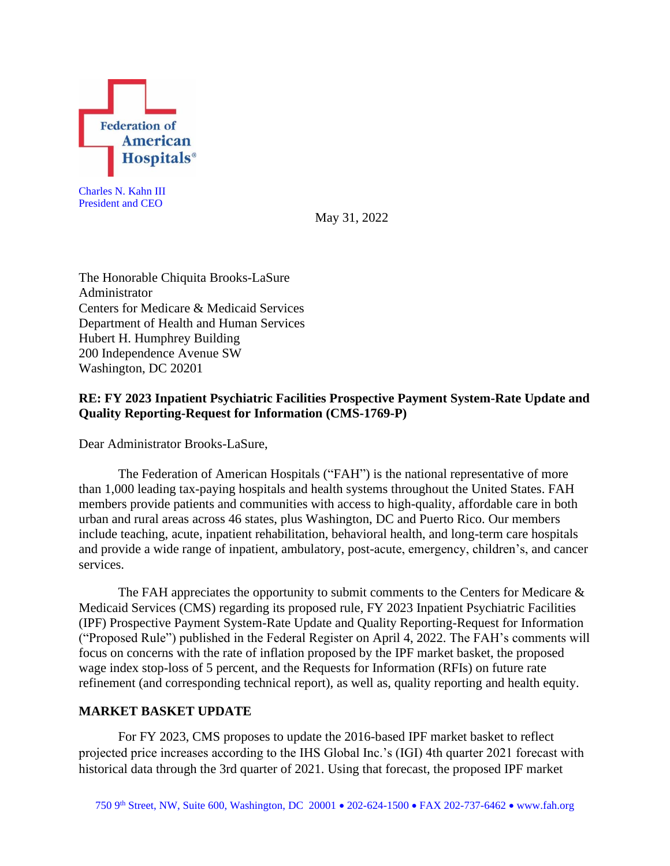

Charles N. Kahn III President and CEO

May 31, 2022

The Honorable Chiquita Brooks-LaSure Administrator Centers for Medicare & Medicaid Services Department of Health and Human Services Hubert H. Humphrey Building 200 Independence Avenue SW Washington, DC 20201

# **RE: FY 2023 Inpatient Psychiatric Facilities Prospective Payment System-Rate Update and Quality Reporting-Request for Information (CMS-1769-P)**

Dear Administrator Brooks-LaSure,

The Federation of American Hospitals ("FAH") is the national representative of more than 1,000 leading tax-paying hospitals and health systems throughout the United States. FAH members provide patients and communities with access to high-quality, affordable care in both urban and rural areas across 46 states, plus Washington, DC and Puerto Rico. Our members include teaching, acute, inpatient rehabilitation, behavioral health, and long-term care hospitals and provide a wide range of inpatient, ambulatory, post-acute, emergency, children's, and cancer services.

The FAH appreciates the opportunity to submit comments to the Centers for Medicare  $\&$ Medicaid Services (CMS) regarding its proposed rule, FY 2023 Inpatient Psychiatric Facilities (IPF) Prospective Payment System-Rate Update and Quality Reporting-Request for Information ("Proposed Rule") published in the Federal Register on April 4, 2022. The FAH's comments will focus on concerns with the rate of inflation proposed by the IPF market basket, the proposed wage index stop-loss of 5 percent, and the Requests for Information (RFIs) on future rate refinement (and corresponding technical report), as well as, quality reporting and health equity.

### **MARKET BASKET UPDATE**

For FY 2023, CMS proposes to update the 2016-based IPF market basket to reflect projected price increases according to the IHS Global Inc.'s (IGI) 4th quarter 2021 forecast with historical data through the 3rd quarter of 2021. Using that forecast, the proposed IPF market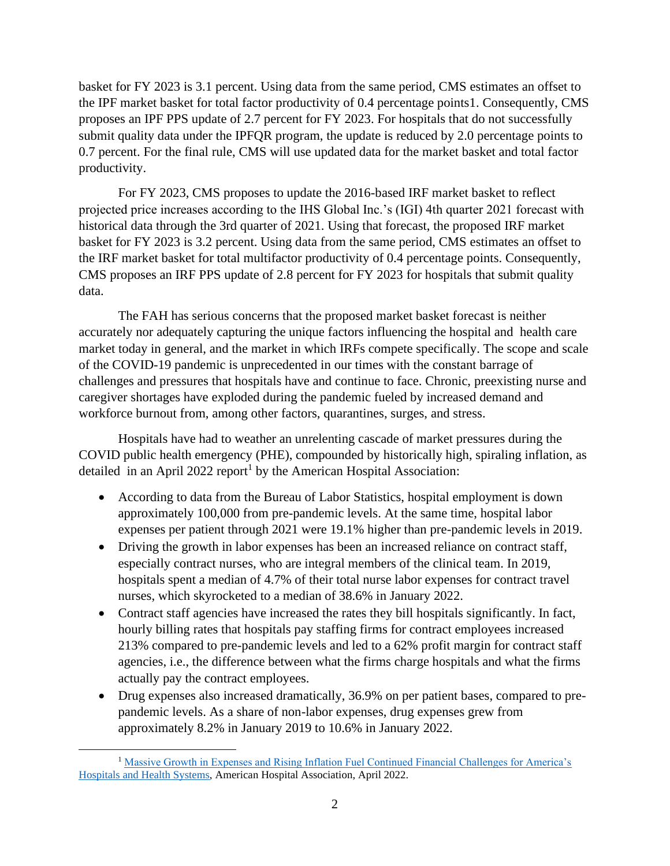basket for FY 2023 is 3.1 percent. Using data from the same period, CMS estimates an offset to the IPF market basket for total factor productivity of 0.4 percentage points1. Consequently, CMS proposes an IPF PPS update of 2.7 percent for FY 2023. For hospitals that do not successfully submit quality data under the IPFQR program, the update is reduced by 2.0 percentage points to 0.7 percent. For the final rule, CMS will use updated data for the market basket and total factor productivity.

For FY 2023, CMS proposes to update the 2016-based IRF market basket to reflect projected price increases according to the IHS Global Inc.'s (IGI) 4th quarter 2021 forecast with historical data through the 3rd quarter of 2021. Using that forecast, the proposed IRF market basket for FY 2023 is 3.2 percent. Using data from the same period, CMS estimates an offset to the IRF market basket for total multifactor productivity of 0.4 percentage points. Consequently, CMS proposes an IRF PPS update of 2.8 percent for FY 2023 for hospitals that submit quality data.

The FAH has serious concerns that the proposed market basket forecast is neither accurately nor adequately capturing the unique factors influencing the hospital and health care market today in general, and the market in which IRFs compete specifically. The scope and scale of the COVID-19 pandemic is unprecedented in our times with the constant barrage of challenges and pressures that hospitals have and continue to face. Chronic, preexisting nurse and caregiver shortages have exploded during the pandemic fueled by increased demand and workforce burnout from, among other factors, quarantines, surges, and stress.

Hospitals have had to weather an unrelenting cascade of market pressures during the COVID public health emergency (PHE), compounded by historically high, spiraling inflation, as detailed in an April 2022 report<sup>1</sup> by the American Hospital Association:

- According to data from the Bureau of Labor Statistics, hospital employment is down approximately 100,000 from pre-pandemic levels. At the same time, hospital labor expenses per patient through 2021 were 19.1% higher than pre-pandemic levels in 2019.
- Driving the growth in labor expenses has been an increased reliance on contract staff, especially contract nurses, who are integral members of the clinical team. In 2019, hospitals spent a median of 4.7% of their total nurse labor expenses for contract travel nurses, which skyrocketed to a median of 38.6% in January 2022.
- Contract staff agencies have increased the rates they bill hospitals significantly. In fact, hourly billing rates that hospitals pay staffing firms for contract employees increased 213% compared to pre-pandemic levels and led to a 62% profit margin for contract staff agencies, i.e., the difference between what the firms charge hospitals and what the firms actually pay the contract employees.
- Drug expenses also increased dramatically, 36.9% on per patient bases, compared to prepandemic levels. As a share of non-labor expenses, drug expenses grew from approximately 8.2% in January 2019 to 10.6% in January 2022.

<sup>&</sup>lt;sup>1</sup> Massive Growth in Expenses and Rising Inflation Fuel Continued Financial Challenges for America's [Hospitals and Health Systems,](https://www.aha.org/system/files/media/file/2022/04/2022-Hospital-Expenses-Increase-Report-Final-Final.pdf) American Hospital Association, April 2022.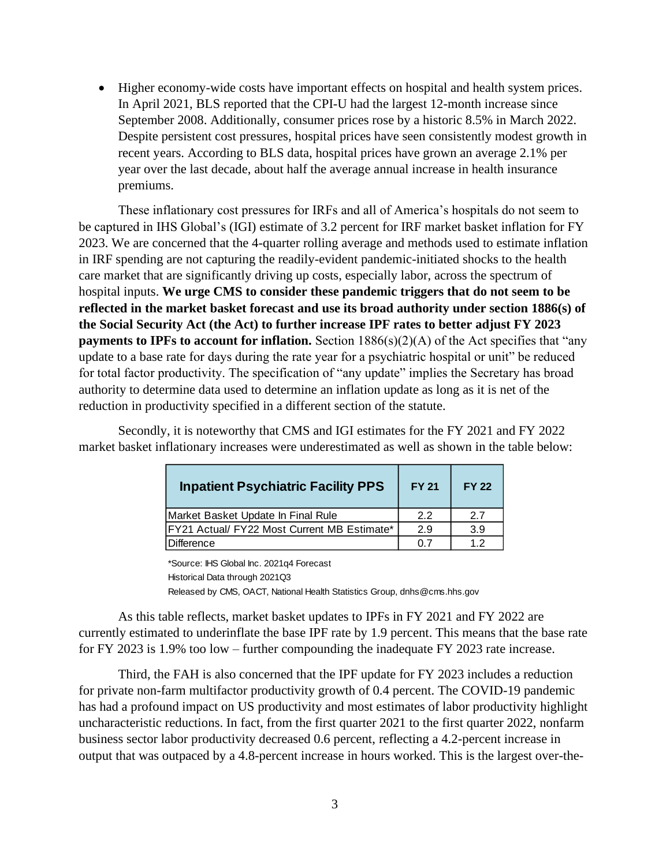• Higher economy-wide costs have important effects on hospital and health system prices. In April 2021, BLS reported that the CPI-U had the largest 12-month increase since September 2008. Additionally, consumer prices rose by a historic 8.5% in March 2022. Despite persistent cost pressures, hospital prices have seen consistently modest growth in recent years. According to BLS data, hospital prices have grown an average 2.1% per year over the last decade, about half the average annual increase in health insurance premiums.

These inflationary cost pressures for IRFs and all of America's hospitals do not seem to be captured in IHS Global's (IGI) estimate of 3.2 percent for IRF market basket inflation for FY 2023. We are concerned that the 4-quarter rolling average and methods used to estimate inflation in IRF spending are not capturing the readily-evident pandemic-initiated shocks to the health care market that are significantly driving up costs, especially labor, across the spectrum of hospital inputs. **We urge CMS to consider these pandemic triggers that do not seem to be reflected in the market basket forecast and use its broad authority under section 1886(s) of the Social Security Act (the Act) to further increase IPF rates to better adjust FY 2023 payments to IPFs to account for inflation.** Section 1886(s)(2)(A) of the Act specifies that "any update to a base rate for days during the rate year for a psychiatric hospital or unit" be reduced for total factor productivity. The specification of "any update" implies the Secretary has broad authority to determine data used to determine an inflation update as long as it is net of the reduction in productivity specified in a different section of the statute.

| <b>Inpatient Psychiatric Facility PPS</b>   | <b>FY 21</b> | <b>FY 22</b> |
|---------------------------------------------|--------------|--------------|
| Market Basket Update In Final Rule          | 22           | 27           |
| FY21 Actual/ FY22 Most Current MB Estimate* | 2.9          | 3.9          |
| <b>Difference</b>                           | 0 7          | 12           |

Secondly, it is noteworthy that CMS and IGI estimates for the FY 2021 and FY 2022 market basket inflationary increases were underestimated as well as shown in the table below:

> \*Source: IHS Global Inc. 2021q4 Forecast Historical Data through 2021Q3 Released by CMS, OACT, National Health Statistics Group, dnhs@cms.hhs.gov

As this table reflects, market basket updates to IPFs in FY 2021 and FY 2022 are currently estimated to underinflate the base IPF rate by 1.9 percent. This means that the base rate for FY 2023 is 1.9% too low – further compounding the inadequate FY 2023 rate increase.

Third, the FAH is also concerned that the IPF update for FY 2023 includes a reduction for private non-farm multifactor productivity growth of 0.4 percent. The COVID-19 pandemic has had a profound impact on US productivity and most estimates of labor productivity highlight uncharacteristic reductions. In fact, from the first quarter 2021 to the first quarter 2022, nonfarm business sector labor productivity decreased 0.6 percent, reflecting a 4.2-percent increase in output that was outpaced by a 4.8-percent increase in hours worked. This is the largest over-the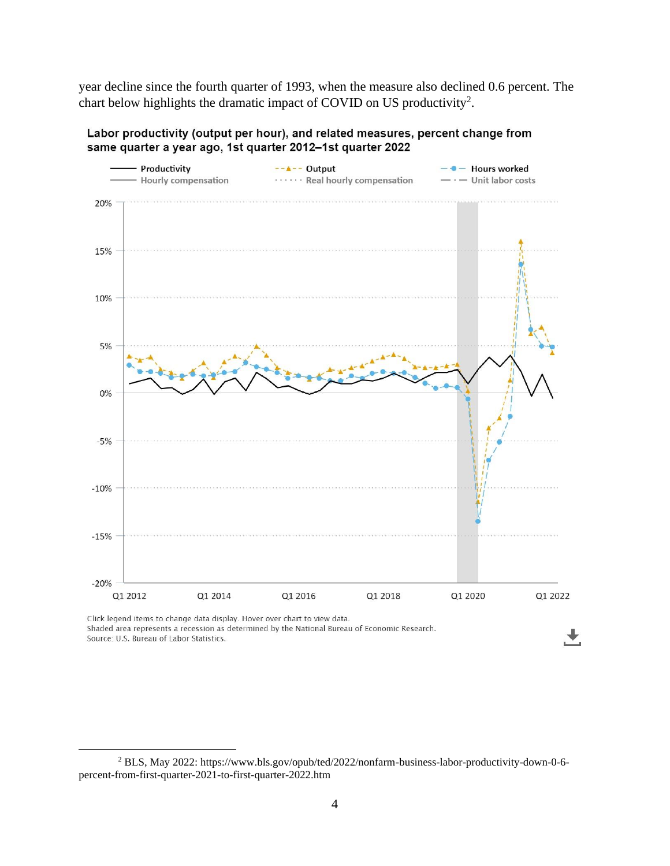year decline since the fourth quarter of 1993, when the measure also declined 0.6 percent. The chart below highlights the dramatic impact of COVID on US productivity<sup>2</sup>.



Labor productivity (output per hour), and related measures, percent change from same quarter a year ago, 1st quarter 2012-1st quarter 2022

Click legend items to change data display. Hover over chart to view data. Shaded area represents a recession as determined by the National Bureau of Economic Research. Source: U.S. Bureau of Labor Statistics.

<sup>2</sup> BLS, May 2022: https://www.bls.gov/opub/ted/2022/nonfarm-business-labor-productivity-down-0-6 percent-from-first-quarter-2021-to-first-quarter-2022.htm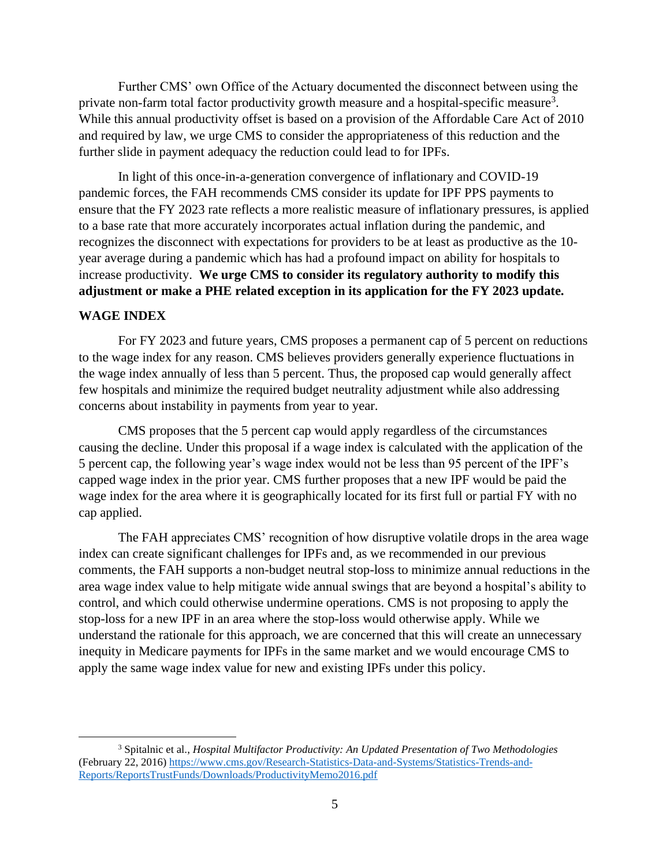Further CMS' own Office of the Actuary documented the disconnect between using the private non-farm total factor productivity growth measure and a hospital-specific measure<sup>3</sup>. While this annual productivity offset is based on a provision of the Affordable Care Act of 2010 and required by law, we urge CMS to consider the appropriateness of this reduction and the further slide in payment adequacy the reduction could lead to for IPFs.

In light of this once-in-a-generation convergence of inflationary and COVID-19 pandemic forces, the FAH recommends CMS consider its update for IPF PPS payments to ensure that the FY 2023 rate reflects a more realistic measure of inflationary pressures, is applied to a base rate that more accurately incorporates actual inflation during the pandemic, and recognizes the disconnect with expectations for providers to be at least as productive as the 10 year average during a pandemic which has had a profound impact on ability for hospitals to increase productivity. **We urge CMS to consider its regulatory authority to modify this adjustment or make a PHE related exception in its application for the FY 2023 update.**

#### **WAGE INDEX**

For FY 2023 and future years, CMS proposes a permanent cap of 5 percent on reductions to the wage index for any reason. CMS believes providers generally experience fluctuations in the wage index annually of less than 5 percent. Thus, the proposed cap would generally affect few hospitals and minimize the required budget neutrality adjustment while also addressing concerns about instability in payments from year to year.

CMS proposes that the 5 percent cap would apply regardless of the circumstances causing the decline. Under this proposal if a wage index is calculated with the application of the 5 percent cap, the following year's wage index would not be less than 95 percent of the IPF's capped wage index in the prior year. CMS further proposes that a new IPF would be paid the wage index for the area where it is geographically located for its first full or partial FY with no cap applied.

The FAH appreciates CMS' recognition of how disruptive volatile drops in the area wage index can create significant challenges for IPFs and, as we recommended in our previous comments, the FAH supports a non-budget neutral stop-loss to minimize annual reductions in the area wage index value to help mitigate wide annual swings that are beyond a hospital's ability to control, and which could otherwise undermine operations. CMS is not proposing to apply the stop-loss for a new IPF in an area where the stop-loss would otherwise apply. While we understand the rationale for this approach, we are concerned that this will create an unnecessary inequity in Medicare payments for IPFs in the same market and we would encourage CMS to apply the same wage index value for new and existing IPFs under this policy.

<sup>3</sup> Spitalnic et al., *Hospital Multifactor Productivity: An Updated Presentation of Two Methodologies* (February 22, 2016) [https://www.cms.gov/Research-Statistics-Data-and-Systems/Statistics-Trends-and-](https://www.cms.gov/Research-Statistics-Data-and-Systems/Statistics-Trends-and-Reports/ReportsTrustFunds/Downloads/ProductivityMemo2016.pdf)[Reports/ReportsTrustFunds/Downloads/ProductivityMemo2016.pdf](https://www.cms.gov/Research-Statistics-Data-and-Systems/Statistics-Trends-and-Reports/ReportsTrustFunds/Downloads/ProductivityMemo2016.pdf)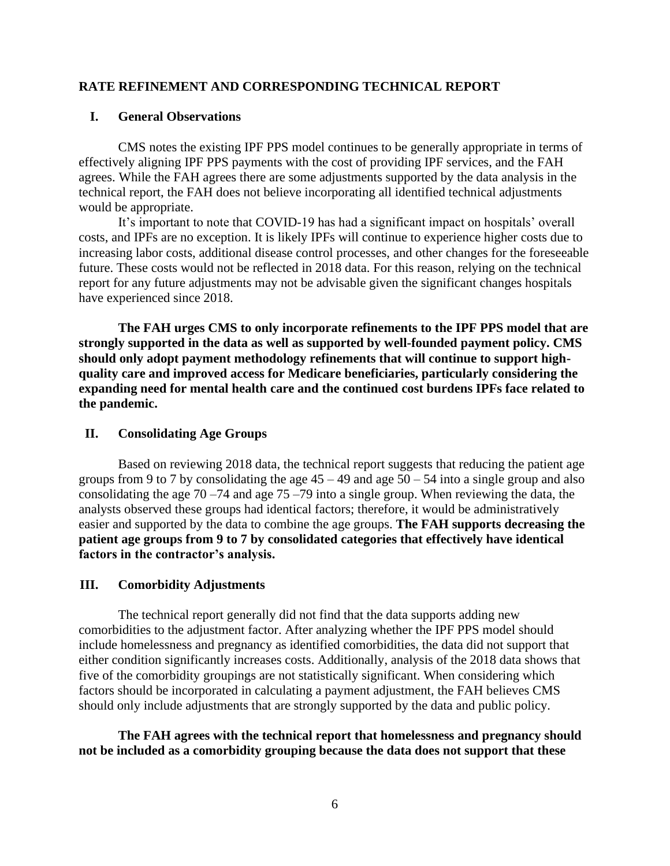### **RATE REFINEMENT AND CORRESPONDING TECHNICAL REPORT**

### **I. General Observations**

CMS notes the existing IPF PPS model continues to be generally appropriate in terms of effectively aligning IPF PPS payments with the cost of providing IPF services, and the FAH agrees. While the FAH agrees there are some adjustments supported by the data analysis in the technical report, the FAH does not believe incorporating all identified technical adjustments would be appropriate.

It's important to note that COVID-19 has had a significant impact on hospitals' overall costs, and IPFs are no exception. It is likely IPFs will continue to experience higher costs due to increasing labor costs, additional disease control processes, and other changes for the foreseeable future. These costs would not be reflected in 2018 data. For this reason, relying on the technical report for any future adjustments may not be advisable given the significant changes hospitals have experienced since 2018.

**The FAH urges CMS to only incorporate refinements to the IPF PPS model that are strongly supported in the data as well as supported by well-founded payment policy. CMS should only adopt payment methodology refinements that will continue to support highquality care and improved access for Medicare beneficiaries, particularly considering the expanding need for mental health care and the continued cost burdens IPFs face related to the pandemic.**

#### **II. Consolidating Age Groups**

Based on reviewing 2018 data, the technical report suggests that reducing the patient age groups from 9 to 7 by consolidating the age  $45 - 49$  and age  $50 - 54$  into a single group and also consolidating the age  $70 - 74$  and age  $75 - 79$  into a single group. When reviewing the data, the analysts observed these groups had identical factors; therefore, it would be administratively easier and supported by the data to combine the age groups. **The FAH supports decreasing the patient age groups from 9 to 7 by consolidated categories that effectively have identical factors in the contractor's analysis.**

### **III. Comorbidity Adjustments**

The technical report generally did not find that the data supports adding new comorbidities to the adjustment factor. After analyzing whether the IPF PPS model should include homelessness and pregnancy as identified comorbidities, the data did not support that either condition significantly increases costs. Additionally, analysis of the 2018 data shows that five of the comorbidity groupings are not statistically significant. When considering which factors should be incorporated in calculating a payment adjustment, the FAH believes CMS should only include adjustments that are strongly supported by the data and public policy.

**The FAH agrees with the technical report that homelessness and pregnancy should not be included as a comorbidity grouping because the data does not support that these**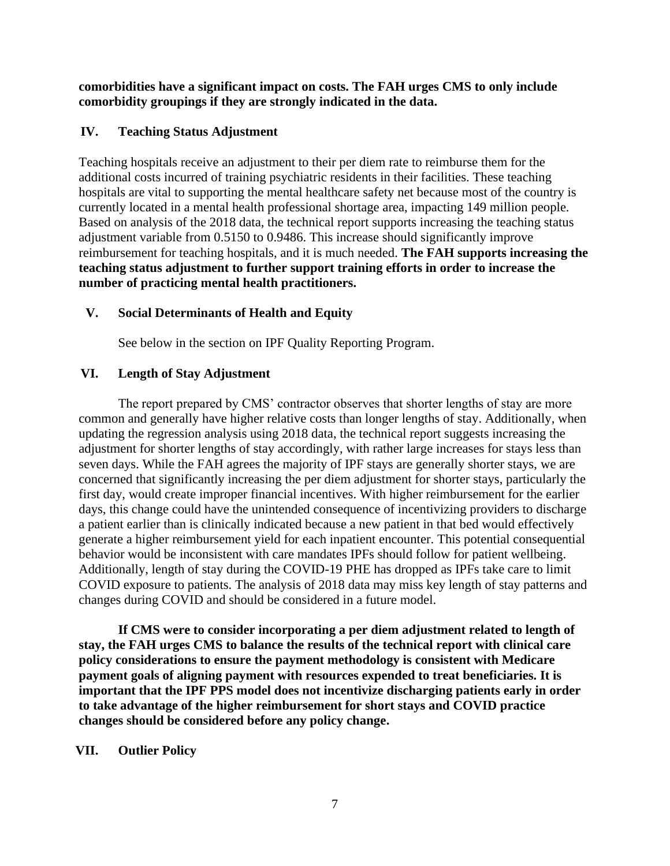**comorbidities have a significant impact on costs. The FAH urges CMS to only include comorbidity groupings if they are strongly indicated in the data.**

# **IV. Teaching Status Adjustment**

Teaching hospitals receive an adjustment to their per diem rate to reimburse them for the additional costs incurred of training psychiatric residents in their facilities. These teaching hospitals are vital to supporting the mental healthcare safety net because most of the country is currently located in a mental health professional shortage area, impacting 149 million people. Based on analysis of the 2018 data, the technical report supports increasing the teaching status adjustment variable from 0.5150 to 0.9486. This increase should significantly improve reimbursement for teaching hospitals, and it is much needed. **The FAH supports increasing the teaching status adjustment to further support training efforts in order to increase the number of practicing mental health practitioners.**

## **V. Social Determinants of Health and Equity**

See below in the section on IPF Quality Reporting Program.

# **VI. Length of Stay Adjustment**

The report prepared by CMS' contractor observes that shorter lengths of stay are more common and generally have higher relative costs than longer lengths of stay. Additionally, when updating the regression analysis using 2018 data, the technical report suggests increasing the adjustment for shorter lengths of stay accordingly, with rather large increases for stays less than seven days. While the FAH agrees the majority of IPF stays are generally shorter stays, we are concerned that significantly increasing the per diem adjustment for shorter stays, particularly the first day, would create improper financial incentives. With higher reimbursement for the earlier days, this change could have the unintended consequence of incentivizing providers to discharge a patient earlier than is clinically indicated because a new patient in that bed would effectively generate a higher reimbursement yield for each inpatient encounter. This potential consequential behavior would be inconsistent with care mandates IPFs should follow for patient wellbeing. Additionally, length of stay during the COVID-19 PHE has dropped as IPFs take care to limit COVID exposure to patients. The analysis of 2018 data may miss key length of stay patterns and changes during COVID and should be considered in a future model.

**If CMS were to consider incorporating a per diem adjustment related to length of stay, the FAH urges CMS to balance the results of the technical report with clinical care policy considerations to ensure the payment methodology is consistent with Medicare payment goals of aligning payment with resources expended to treat beneficiaries. It is important that the IPF PPS model does not incentivize discharging patients early in order to take advantage of the higher reimbursement for short stays and COVID practice changes should be considered before any policy change.**

### **VII. Outlier Policy**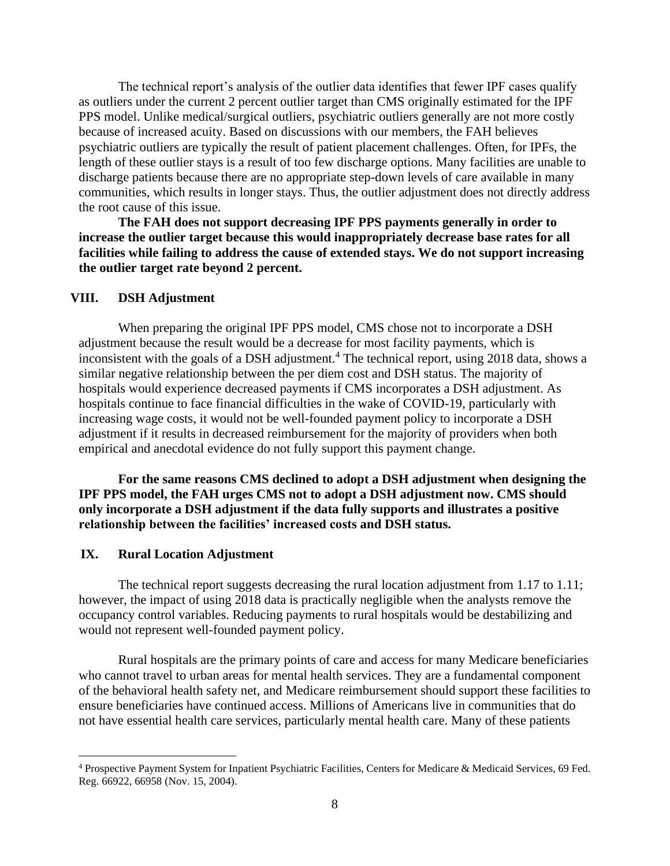The technical report's analysis of the outlier data identifies that fewer IPF cases qualify as outliers under the current 2 percent outlier target than CMS originally estimated for the IPF PPS model. Unlike medical/surgical outliers, psychiatric outliers generally are not more costly because of increased acuity. Based on discussions with our members, the FAH believes psychiatric outliers are typically the result of patient placement challenges. Often, for IPFs, the length of these outlier stays is a result of too few discharge options. Many facilities are unable to discharge patients because there are no appropriate step-down levels of care available in many communities, which results in longer stays. Thus, the outlier adjustment does not directly address the root cause of this issue.

**The FAH does not support decreasing IPF PPS payments generally in order to increase the outlier target because this would inappropriately decrease base rates for all facilities while failing to address the cause of extended stays. We do not support increasing the outlier target rate beyond 2 percent.** 

#### **VIII. DSH Adjustment**

When preparing the original IPF PPS model, CMS chose not to incorporate a DSH adjustment because the result would be a decrease for most facility payments, which is inconsistent with the goals of a DSH adjustment.<sup>4</sup> The technical report, using 2018 data, shows a similar negative relationship between the per diem cost and DSH status. The majority of hospitals would experience decreased payments if CMS incorporates a DSH adjustment. As hospitals continue to face financial difficulties in the wake of COVID-19, particularly with increasing wage costs, it would not be well-founded payment policy to incorporate a DSH adjustment if it results in decreased reimbursement for the majority of providers when both empirical and anecdotal evidence do not fully support this payment change.

**For the same reasons CMS declined to adopt a DSH adjustment when designing the IPF PPS model, the FAH urges CMS not to adopt a DSH adjustment now. CMS should only incorporate a DSH adjustment if the data fully supports and illustrates a positive relationship between the facilities' increased costs and DSH status.**

### **IX. Rural Location Adjustment**

The technical report suggests decreasing the rural location adjustment from 1.17 to 1.11; however, the impact of using 2018 data is practically negligible when the analysts remove the occupancy control variables. Reducing payments to rural hospitals would be destabilizing and would not represent well-founded payment policy.

Rural hospitals are the primary points of care and access for many Medicare beneficiaries who cannot travel to urban areas for mental health services. They are a fundamental component of the behavioral health safety net, and Medicare reimbursement should support these facilities to ensure beneficiaries have continued access. Millions of Americans live in communities that do not have essential health care services, particularly mental health care. Many of these patients

<sup>4</sup> Prospective Payment System for Inpatient Psychiatric Facilities, Centers for Medicare & Medicaid Services, 69 Fed. Reg. 66922, 66958 (Nov. 15, 2004).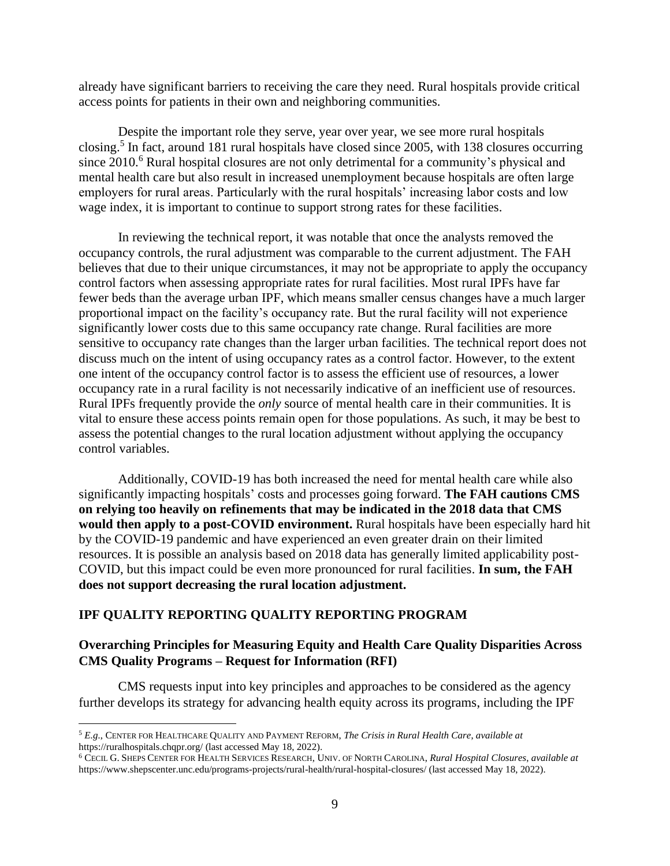already have significant barriers to receiving the care they need. Rural hospitals provide critical access points for patients in their own and neighboring communities.

Despite the important role they serve, year over year, we see more rural hospitals closing.<sup>5</sup> In fact, around 181 rural hospitals have closed since 2005, with 138 closures occurring since 2010.<sup>6</sup> Rural hospital closures are not only detrimental for a community's physical and mental health care but also result in increased unemployment because hospitals are often large employers for rural areas. Particularly with the rural hospitals' increasing labor costs and low wage index, it is important to continue to support strong rates for these facilities.

In reviewing the technical report, it was notable that once the analysts removed the occupancy controls, the rural adjustment was comparable to the current adjustment. The FAH believes that due to their unique circumstances, it may not be appropriate to apply the occupancy control factors when assessing appropriate rates for rural facilities. Most rural IPFs have far fewer beds than the average urban IPF, which means smaller census changes have a much larger proportional impact on the facility's occupancy rate. But the rural facility will not experience significantly lower costs due to this same occupancy rate change. Rural facilities are more sensitive to occupancy rate changes than the larger urban facilities. The technical report does not discuss much on the intent of using occupancy rates as a control factor. However, to the extent one intent of the occupancy control factor is to assess the efficient use of resources, a lower occupancy rate in a rural facility is not necessarily indicative of an inefficient use of resources. Rural IPFs frequently provide the *only* source of mental health care in their communities. It is vital to ensure these access points remain open for those populations. As such, it may be best to assess the potential changes to the rural location adjustment without applying the occupancy control variables.

Additionally, COVID-19 has both increased the need for mental health care while also significantly impacting hospitals' costs and processes going forward. **The FAH cautions CMS on relying too heavily on refinements that may be indicated in the 2018 data that CMS would then apply to a post-COVID environment.** Rural hospitals have been especially hard hit by the COVID-19 pandemic and have experienced an even greater drain on their limited resources. It is possible an analysis based on 2018 data has generally limited applicability post-COVID, but this impact could be even more pronounced for rural facilities. **In sum, the FAH does not support decreasing the rural location adjustment.** 

### **IPF QUALITY REPORTING QUALITY REPORTING PROGRAM**

## **Overarching Principles for Measuring Equity and Health Care Quality Disparities Across CMS Quality Programs – Request for Information (RFI)**

CMS requests input into key principles and approaches to be considered as the agency further develops its strategy for advancing health equity across its programs, including the IPF

<sup>5</sup> *E.g.*, CENTER FOR HEALTHCARE QUALITY AND PAYMENT REFORM, *The Crisis in Rural Health Care*, *available at*  https://ruralhospitals.chqpr.org/ (last accessed May 18, 2022).

<sup>6</sup> CECIL G. SHEPS CENTER FOR HEALTH SERVICES RESEARCH, UNIV. OF NORTH CAROLINA, *Rural Hospital Closures*, *available at* https://www.shepscenter.unc.edu/programs-projects/rural-health/rural-hospital-closures/ (last accessed May 18, 2022).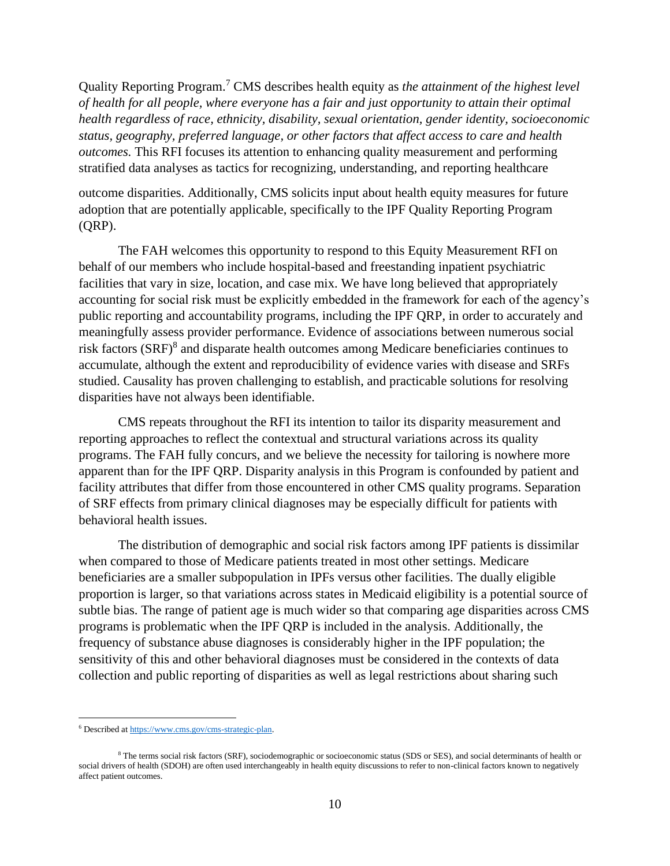Quality Reporting Program.<sup>7</sup> CMS describes health equity as *the attainment of the highest level of health for all people, where everyone has a fair and just opportunity to attain their optimal health regardless of race, ethnicity, disability, sexual orientation, gender identity, socioeconomic status, geography, preferred language, or other factors that affect access to care and health outcomes.* This RFI focuses its attention to enhancing quality measurement and performing stratified data analyses as tactics for recognizing, understanding, and reporting healthcare

outcome disparities. Additionally, CMS solicits input about health equity measures for future adoption that are potentially applicable, specifically to the IPF Quality Reporting Program (QRP).

The FAH welcomes this opportunity to respond to this Equity Measurement RFI on behalf of our members who include hospital-based and freestanding inpatient psychiatric facilities that vary in size, location, and case mix. We have long believed that appropriately accounting for social risk must be explicitly embedded in the framework for each of the agency's public reporting and accountability programs, including the IPF QRP, in order to accurately and meaningfully assess provider performance. Evidence of associations between numerous social risk factors (SRF)<sup>8</sup> and disparate health outcomes among Medicare beneficiaries continues to accumulate, although the extent and reproducibility of evidence varies with disease and SRFs studied. Causality has proven challenging to establish, and practicable solutions for resolving disparities have not always been identifiable.

CMS repeats throughout the RFI its intention to tailor its disparity measurement and reporting approaches to reflect the contextual and structural variations across its quality programs. The FAH fully concurs, and we believe the necessity for tailoring is nowhere more apparent than for the IPF QRP. Disparity analysis in this Program is confounded by patient and facility attributes that differ from those encountered in other CMS quality programs. Separation of SRF effects from primary clinical diagnoses may be especially difficult for patients with behavioral health issues.

The distribution of demographic and social risk factors among IPF patients is dissimilar when compared to those of Medicare patients treated in most other settings. Medicare beneficiaries are a smaller subpopulation in IPFs versus other facilities. The dually eligible proportion is larger, so that variations across states in Medicaid eligibility is a potential source of subtle bias. The range of patient age is much wider so that comparing age disparities across CMS programs is problematic when the IPF QRP is included in the analysis. Additionally, the frequency of substance abuse diagnoses is considerably higher in the IPF population; the sensitivity of this and other behavioral diagnoses must be considered in the contexts of data collection and public reporting of disparities as well as legal restrictions about sharing such

<sup>6</sup> Described a[t https://www.cms.gov/cms-strategic-plan.](https://www.cms.gov/cms-strategic-plan)

<sup>&</sup>lt;sup>8</sup> The terms social risk factors (SRF), sociodemographic or socioeconomic status (SDS or SES), and social determinants of health or social drivers of health (SDOH) are often used interchangeably in health equity discussions to refer to non-clinical factors known to negatively affect patient outcomes.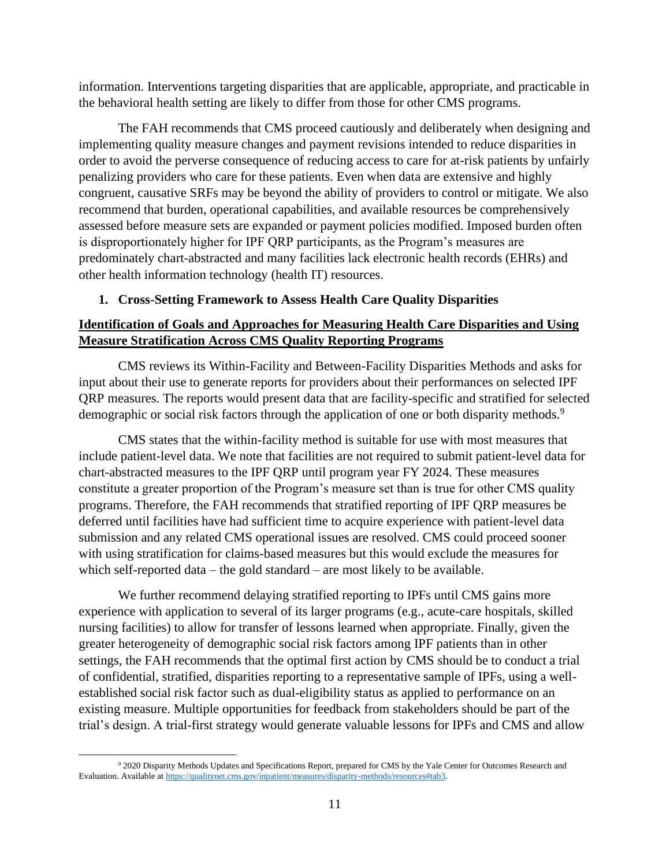information. Interventions targeting disparities that are applicable, appropriate, and practicable in the behavioral health setting are likely to differ from those for other CMS programs.

The FAH recommends that CMS proceed cautiously and deliberately when designing and implementing quality measure changes and payment revisions intended to reduce disparities in order to avoid the perverse consequence of reducing access to care for at-risk patients by unfairly penalizing providers who care for these patients. Even when data are extensive and highly congruent, causative SRFs may be beyond the ability of providers to control or mitigate. We also recommend that burden, operational capabilities, and available resources be comprehensively assessed before measure sets are expanded or payment policies modified. Imposed burden often is disproportionately higher for IPF QRP participants, as the Program's measures are predominately chart-abstracted and many facilities lack electronic health records (EHRs) and other health information technology (health IT) resources.

# **1. Cross-Setting Framework to Assess Health Care Quality Disparities**

# **Identification of Goals and Approaches for Measuring Health Care Disparities and Using Measure Stratification Across CMS Quality Reporting Programs**

CMS reviews its Within-Facility and Between-Facility Disparities Methods and asks for input about their use to generate reports for providers about their performances on selected IPF QRP measures. The reports would present data that are facility-specific and stratified for selected demographic or social risk factors through the application of one or both disparity methods.<sup>9</sup>

CMS states that the within-facility method is suitable for use with most measures that include patient-level data. We note that facilities are not required to submit patient-level data for chart-abstracted measures to the IPF QRP until program year FY 2024. These measures constitute a greater proportion of the Program's measure set than is true for other CMS quality programs. Therefore, the FAH recommends that stratified reporting of IPF QRP measures be deferred until facilities have had sufficient time to acquire experience with patient-level data submission and any related CMS operational issues are resolved. CMS could proceed sooner with using stratification for claims-based measures but this would exclude the measures for which self-reported data – the gold standard – are most likely to be available.

We further recommend delaying stratified reporting to IPFs until CMS gains more experience with application to several of its larger programs (e.g., acute-care hospitals, skilled nursing facilities) to allow for transfer of lessons learned when appropriate. Finally, given the greater heterogeneity of demographic social risk factors among IPF patients than in other settings, the FAH recommends that the optimal first action by CMS should be to conduct a trial of confidential, stratified, disparities reporting to a representative sample of IPFs, using a wellestablished social risk factor such as dual-eligibility status as applied to performance on an existing measure. Multiple opportunities for feedback from stakeholders should be part of the trial's design. A trial-first strategy would generate valuable lessons for IPFs and CMS and allow

<sup>9</sup> 2020 Disparity Methods Updates and Specifications Report, prepared for CMS by the Yale Center for Outcomes Research and Evaluation. Available a[t https://qualitynet.cms.gov/inpatient/measures/disparity-methods/resources#tab3.](https://qualitynet.cms.gov/inpatient/measures/disparity-methods/resources#tab3)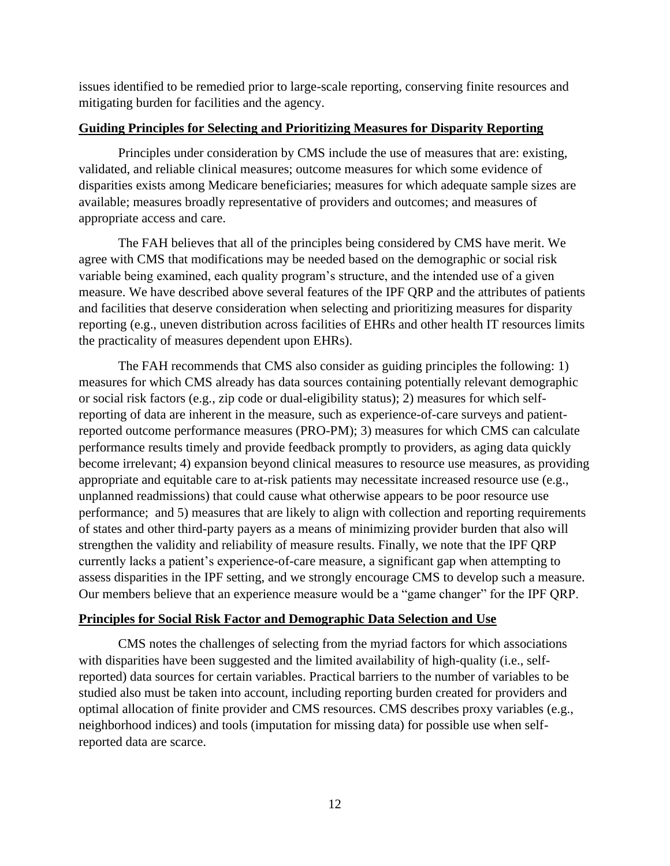issues identified to be remedied prior to large-scale reporting, conserving finite resources and mitigating burden for facilities and the agency.

### **Guiding Principles for Selecting and Prioritizing Measures for Disparity Reporting**

Principles under consideration by CMS include the use of measures that are: existing, validated, and reliable clinical measures; outcome measures for which some evidence of disparities exists among Medicare beneficiaries; measures for which adequate sample sizes are available; measures broadly representative of providers and outcomes; and measures of appropriate access and care.

The FAH believes that all of the principles being considered by CMS have merit. We agree with CMS that modifications may be needed based on the demographic or social risk variable being examined, each quality program's structure, and the intended use of a given measure. We have described above several features of the IPF QRP and the attributes of patients and facilities that deserve consideration when selecting and prioritizing measures for disparity reporting (e.g., uneven distribution across facilities of EHRs and other health IT resources limits the practicality of measures dependent upon EHRs).

The FAH recommends that CMS also consider as guiding principles the following: 1) measures for which CMS already has data sources containing potentially relevant demographic or social risk factors (e.g., zip code or dual-eligibility status); 2) measures for which selfreporting of data are inherent in the measure, such as experience-of-care surveys and patientreported outcome performance measures (PRO-PM); 3) measures for which CMS can calculate performance results timely and provide feedback promptly to providers, as aging data quickly become irrelevant; 4) expansion beyond clinical measures to resource use measures, as providing appropriate and equitable care to at-risk patients may necessitate increased resource use (e.g., unplanned readmissions) that could cause what otherwise appears to be poor resource use performance; and 5) measures that are likely to align with collection and reporting requirements of states and other third-party payers as a means of minimizing provider burden that also will strengthen the validity and reliability of measure results. Finally, we note that the IPF QRP currently lacks a patient's experience-of-care measure, a significant gap when attempting to assess disparities in the IPF setting, and we strongly encourage CMS to develop such a measure. Our members believe that an experience measure would be a "game changer" for the IPF QRP.

#### **Principles for Social Risk Factor and Demographic Data Selection and Use**

CMS notes the challenges of selecting from the myriad factors for which associations with disparities have been suggested and the limited availability of high-quality (i.e., selfreported) data sources for certain variables. Practical barriers to the number of variables to be studied also must be taken into account, including reporting burden created for providers and optimal allocation of finite provider and CMS resources. CMS describes proxy variables (e.g., neighborhood indices) and tools (imputation for missing data) for possible use when selfreported data are scarce.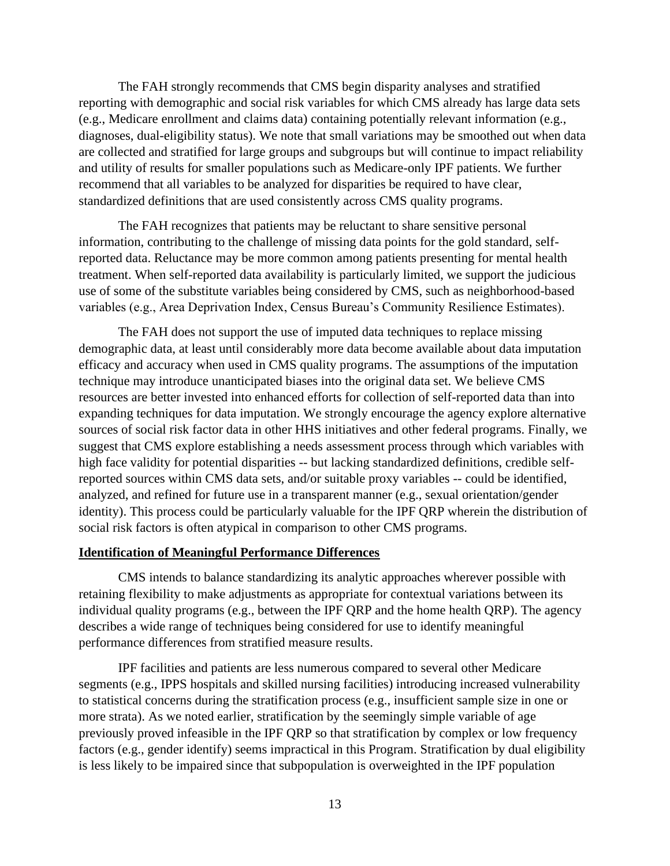The FAH strongly recommends that CMS begin disparity analyses and stratified reporting with demographic and social risk variables for which CMS already has large data sets (e.g., Medicare enrollment and claims data) containing potentially relevant information (e.g., diagnoses, dual-eligibility status). We note that small variations may be smoothed out when data are collected and stratified for large groups and subgroups but will continue to impact reliability and utility of results for smaller populations such as Medicare-only IPF patients. We further recommend that all variables to be analyzed for disparities be required to have clear, standardized definitions that are used consistently across CMS quality programs.

The FAH recognizes that patients may be reluctant to share sensitive personal information, contributing to the challenge of missing data points for the gold standard, selfreported data. Reluctance may be more common among patients presenting for mental health treatment. When self-reported data availability is particularly limited, we support the judicious use of some of the substitute variables being considered by CMS, such as neighborhood-based variables (e.g., Area Deprivation Index, Census Bureau's Community Resilience Estimates).

The FAH does not support the use of imputed data techniques to replace missing demographic data, at least until considerably more data become available about data imputation efficacy and accuracy when used in CMS quality programs. The assumptions of the imputation technique may introduce unanticipated biases into the original data set. We believe CMS resources are better invested into enhanced efforts for collection of self-reported data than into expanding techniques for data imputation. We strongly encourage the agency explore alternative sources of social risk factor data in other HHS initiatives and other federal programs. Finally, we suggest that CMS explore establishing a needs assessment process through which variables with high face validity for potential disparities -- but lacking standardized definitions, credible selfreported sources within CMS data sets, and/or suitable proxy variables -- could be identified, analyzed, and refined for future use in a transparent manner (e.g., sexual orientation/gender identity). This process could be particularly valuable for the IPF QRP wherein the distribution of social risk factors is often atypical in comparison to other CMS programs.

#### **Identification of Meaningful Performance Differences**

CMS intends to balance standardizing its analytic approaches wherever possible with retaining flexibility to make adjustments as appropriate for contextual variations between its individual quality programs (e.g., between the IPF QRP and the home health QRP). The agency describes a wide range of techniques being considered for use to identify meaningful performance differences from stratified measure results.

IPF facilities and patients are less numerous compared to several other Medicare segments (e.g., IPPS hospitals and skilled nursing facilities) introducing increased vulnerability to statistical concerns during the stratification process (e.g., insufficient sample size in one or more strata). As we noted earlier, stratification by the seemingly simple variable of age previously proved infeasible in the IPF QRP so that stratification by complex or low frequency factors (e.g., gender identify) seems impractical in this Program. Stratification by dual eligibility is less likely to be impaired since that subpopulation is overweighted in the IPF population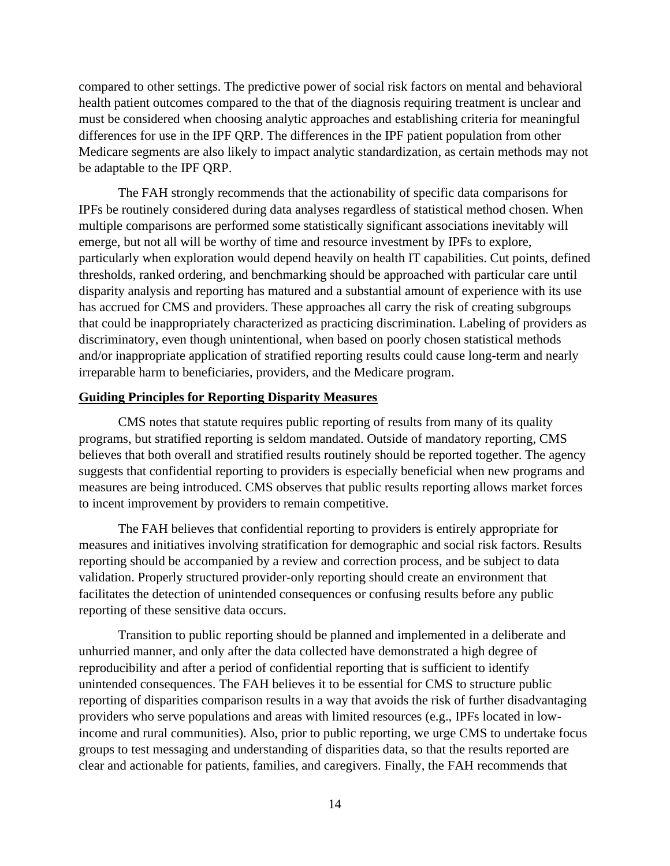compared to other settings. The predictive power of social risk factors on mental and behavioral health patient outcomes compared to the that of the diagnosis requiring treatment is unclear and must be considered when choosing analytic approaches and establishing criteria for meaningful differences for use in the IPF QRP. The differences in the IPF patient population from other Medicare segments are also likely to impact analytic standardization, as certain methods may not be adaptable to the IPF QRP.

The FAH strongly recommends that the actionability of specific data comparisons for IPFs be routinely considered during data analyses regardless of statistical method chosen. When multiple comparisons are performed some statistically significant associations inevitably will emerge, but not all will be worthy of time and resource investment by IPFs to explore, particularly when exploration would depend heavily on health IT capabilities. Cut points, defined thresholds, ranked ordering, and benchmarking should be approached with particular care until disparity analysis and reporting has matured and a substantial amount of experience with its use has accrued for CMS and providers. These approaches all carry the risk of creating subgroups that could be inappropriately characterized as practicing discrimination. Labeling of providers as discriminatory, even though unintentional, when based on poorly chosen statistical methods and/or inappropriate application of stratified reporting results could cause long-term and nearly irreparable harm to beneficiaries, providers, and the Medicare program.

#### **Guiding Principles for Reporting Disparity Measures**

CMS notes that statute requires public reporting of results from many of its quality programs, but stratified reporting is seldom mandated. Outside of mandatory reporting, CMS believes that both overall and stratified results routinely should be reported together. The agency suggests that confidential reporting to providers is especially beneficial when new programs and measures are being introduced. CMS observes that public results reporting allows market forces to incent improvement by providers to remain competitive.

The FAH believes that confidential reporting to providers is entirely appropriate for measures and initiatives involving stratification for demographic and social risk factors. Results reporting should be accompanied by a review and correction process, and be subject to data validation. Properly structured provider-only reporting should create an environment that facilitates the detection of unintended consequences or confusing results before any public reporting of these sensitive data occurs.

Transition to public reporting should be planned and implemented in a deliberate and unhurried manner, and only after the data collected have demonstrated a high degree of reproducibility and after a period of confidential reporting that is sufficient to identify unintended consequences. The FAH believes it to be essential for CMS to structure public reporting of disparities comparison results in a way that avoids the risk of further disadvantaging providers who serve populations and areas with limited resources (e.g., IPFs located in lowincome and rural communities). Also, prior to public reporting, we urge CMS to undertake focus groups to test messaging and understanding of disparities data, so that the results reported are clear and actionable for patients, families, and caregivers. Finally, the FAH recommends that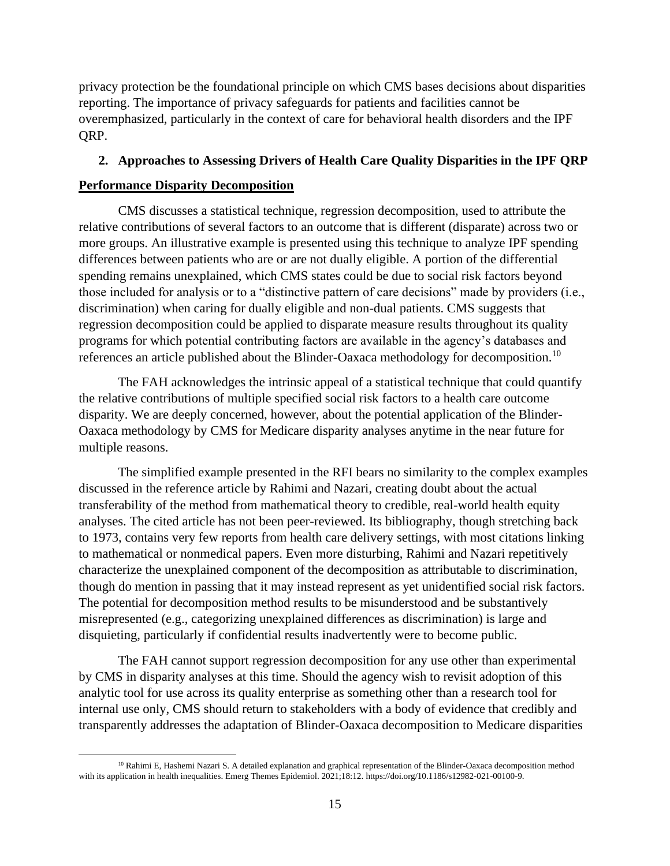privacy protection be the foundational principle on which CMS bases decisions about disparities reporting. The importance of privacy safeguards for patients and facilities cannot be overemphasized, particularly in the context of care for behavioral health disorders and the IPF QRP.

## **2. Approaches to Assessing Drivers of Health Care Quality Disparities in the IPF QRP**

## **Performance Disparity Decomposition**

CMS discusses a statistical technique, regression decomposition, used to attribute the relative contributions of several factors to an outcome that is different (disparate) across two or more groups. An illustrative example is presented using this technique to analyze IPF spending differences between patients who are or are not dually eligible. A portion of the differential spending remains unexplained, which CMS states could be due to social risk factors beyond those included for analysis or to a "distinctive pattern of care decisions" made by providers (i.e., discrimination) when caring for dually eligible and non-dual patients. CMS suggests that regression decomposition could be applied to disparate measure results throughout its quality programs for which potential contributing factors are available in the agency's databases and references an article published about the Blinder-Oaxaca methodology for decomposition.<sup>10</sup>

The FAH acknowledges the intrinsic appeal of a statistical technique that could quantify the relative contributions of multiple specified social risk factors to a health care outcome disparity. We are deeply concerned, however, about the potential application of the Blinder-Oaxaca methodology by CMS for Medicare disparity analyses anytime in the near future for multiple reasons.

The simplified example presented in the RFI bears no similarity to the complex examples discussed in the reference article by Rahimi and Nazari, creating doubt about the actual transferability of the method from mathematical theory to credible, real-world health equity analyses. The cited article has not been peer-reviewed. Its bibliography, though stretching back to 1973, contains very few reports from health care delivery settings, with most citations linking to mathematical or nonmedical papers. Even more disturbing, Rahimi and Nazari repetitively characterize the unexplained component of the decomposition as attributable to discrimination, though do mention in passing that it may instead represent as yet unidentified social risk factors. The potential for decomposition method results to be misunderstood and be substantively misrepresented (e.g., categorizing unexplained differences as discrimination) is large and disquieting, particularly if confidential results inadvertently were to become public.

The FAH cannot support regression decomposition for any use other than experimental by CMS in disparity analyses at this time. Should the agency wish to revisit adoption of this analytic tool for use across its quality enterprise as something other than a research tool for internal use only, CMS should return to stakeholders with a body of evidence that credibly and transparently addresses the adaptation of Blinder-Oaxaca decomposition to Medicare disparities

<sup>&</sup>lt;sup>10</sup> Rahimi E, Hashemi Nazari S. A detailed explanation and graphical representation of the Blinder-Oaxaca decomposition method with its application in health inequalities. Emerg Themes Epidemiol. 2021;18:12. https://doi.org/10.1186/s12982-021-00100-9.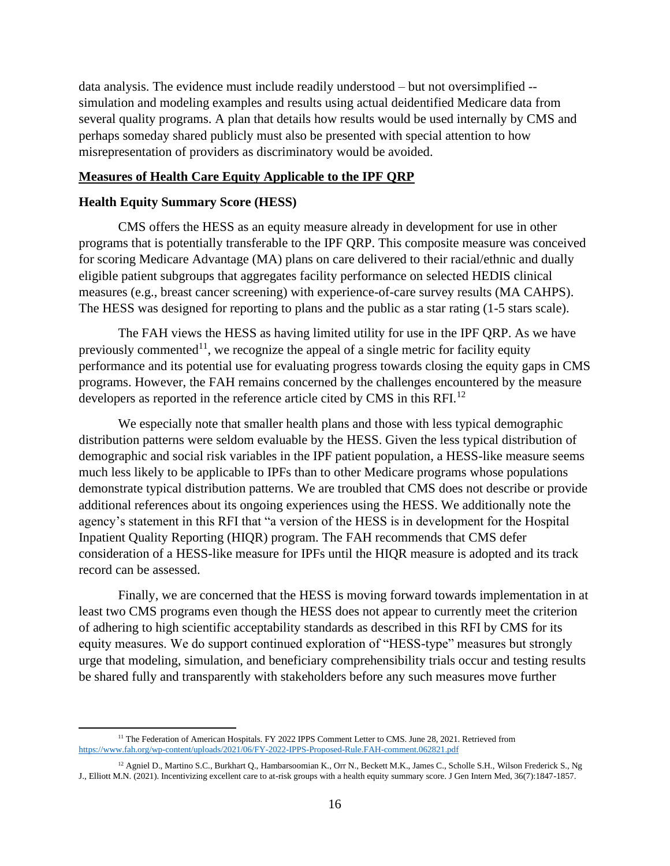data analysis. The evidence must include readily understood – but not oversimplified - simulation and modeling examples and results using actual deidentified Medicare data from several quality programs. A plan that details how results would be used internally by CMS and perhaps someday shared publicly must also be presented with special attention to how misrepresentation of providers as discriminatory would be avoided.

### **Measures of Health Care Equity Applicable to the IPF QRP**

#### **Health Equity Summary Score (HESS)**

CMS offers the HESS as an equity measure already in development for use in other programs that is potentially transferable to the IPF QRP. This composite measure was conceived for scoring Medicare Advantage (MA) plans on care delivered to their racial/ethnic and dually eligible patient subgroups that aggregates facility performance on selected HEDIS clinical measures (e.g., breast cancer screening) with experience-of-care survey results (MA CAHPS). The HESS was designed for reporting to plans and the public as a star rating (1-5 stars scale).

The FAH views the HESS as having limited utility for use in the IPF QRP. As we have previously commented<sup>11</sup>, we recognize the appeal of a single metric for facility equity performance and its potential use for evaluating progress towards closing the equity gaps in CMS programs. However, the FAH remains concerned by the challenges encountered by the measure developers as reported in the reference article cited by CMS in this RFI. $^{12}$ 

We especially note that smaller health plans and those with less typical demographic distribution patterns were seldom evaluable by the HESS. Given the less typical distribution of demographic and social risk variables in the IPF patient population, a HESS-like measure seems much less likely to be applicable to IPFs than to other Medicare programs whose populations demonstrate typical distribution patterns. We are troubled that CMS does not describe or provide additional references about its ongoing experiences using the HESS. We additionally note the agency's statement in this RFI that "a version of the HESS is in development for the Hospital Inpatient Quality Reporting (HIQR) program. The FAH recommends that CMS defer consideration of a HESS-like measure for IPFs until the HIQR measure is adopted and its track record can be assessed.

Finally, we are concerned that the HESS is moving forward towards implementation in at least two CMS programs even though the HESS does not appear to currently meet the criterion of adhering to high scientific acceptability standards as described in this RFI by CMS for its equity measures. We do support continued exploration of "HESS-type" measures but strongly urge that modeling, simulation, and beneficiary comprehensibility trials occur and testing results be shared fully and transparently with stakeholders before any such measures move further

<sup>&</sup>lt;sup>11</sup> The Federation of American Hospitals. FY 2022 IPPS Comment Letter to CMS. June 28, 2021. Retrieved from <https://www.fah.org/wp-content/uploads/2021/06/FY-2022-IPPS-Proposed-Rule.FAH-comment.062821.pdf>

<sup>&</sup>lt;sup>12</sup> Agniel D., Martino S.C., Burkhart Q., Hambarsoomian K., Orr N., Beckett M.K., James C., Scholle S.H., Wilson Frederick S., Ng J., Elliott M.N. (2021). Incentivizing excellent care to at-risk groups with a health equity summary score. J Gen Intern Med, 36(7):1847-1857.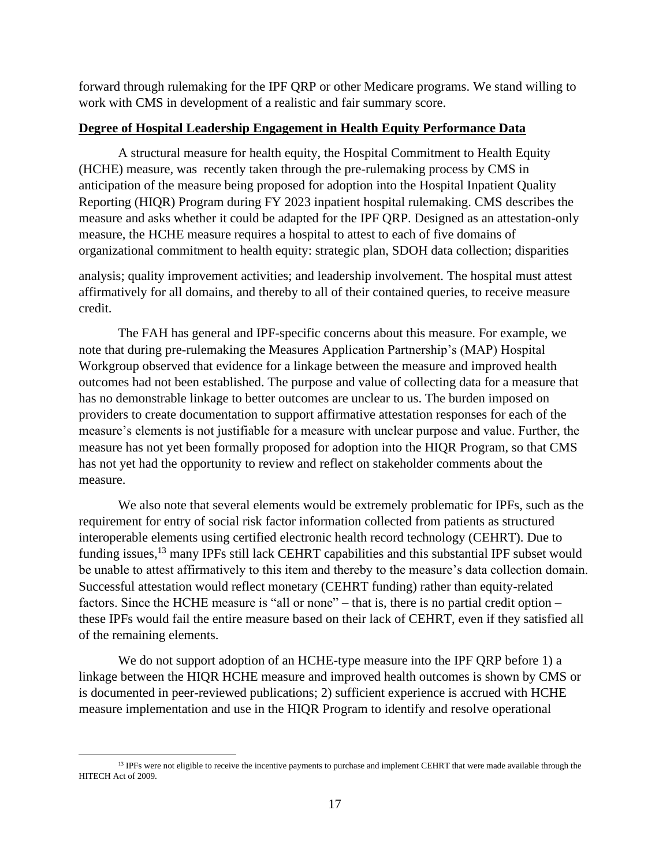forward through rulemaking for the IPF QRP or other Medicare programs. We stand willing to work with CMS in development of a realistic and fair summary score.

## **Degree of Hospital Leadership Engagement in Health Equity Performance Data**

A structural measure for health equity, the Hospital Commitment to Health Equity (HCHE) measure, was recently taken through the pre-rulemaking process by CMS in anticipation of the measure being proposed for adoption into the Hospital Inpatient Quality Reporting (HIQR) Program during FY 2023 inpatient hospital rulemaking. CMS describes the measure and asks whether it could be adapted for the IPF QRP. Designed as an attestation-only measure, the HCHE measure requires a hospital to attest to each of five domains of organizational commitment to health equity: strategic plan, SDOH data collection; disparities

analysis; quality improvement activities; and leadership involvement. The hospital must attest affirmatively for all domains, and thereby to all of their contained queries, to receive measure credit.

The FAH has general and IPF-specific concerns about this measure. For example, we note that during pre-rulemaking the Measures Application Partnership's (MAP) Hospital Workgroup observed that evidence for a linkage between the measure and improved health outcomes had not been established. The purpose and value of collecting data for a measure that has no demonstrable linkage to better outcomes are unclear to us. The burden imposed on providers to create documentation to support affirmative attestation responses for each of the measure's elements is not justifiable for a measure with unclear purpose and value. Further, the measure has not yet been formally proposed for adoption into the HIQR Program, so that CMS has not yet had the opportunity to review and reflect on stakeholder comments about the measure.

We also note that several elements would be extremely problematic for IPFs, such as the requirement for entry of social risk factor information collected from patients as structured interoperable elements using certified electronic health record technology (CEHRT). Due to funding issues,<sup>13</sup> many IPFs still lack CEHRT capabilities and this substantial IPF subset would be unable to attest affirmatively to this item and thereby to the measure's data collection domain. Successful attestation would reflect monetary (CEHRT funding) rather than equity-related factors. Since the HCHE measure is "all or none" – that is, there is no partial credit option – these IPFs would fail the entire measure based on their lack of CEHRT, even if they satisfied all of the remaining elements.

We do not support adoption of an HCHE-type measure into the IPF QRP before 1) a linkage between the HIQR HCHE measure and improved health outcomes is shown by CMS or is documented in peer-reviewed publications; 2) sufficient experience is accrued with HCHE measure implementation and use in the HIQR Program to identify and resolve operational

<sup>&</sup>lt;sup>13</sup> IPFs were not eligible to receive the incentive payments to purchase and implement CEHRT that were made available through the HITECH Act of 2009.